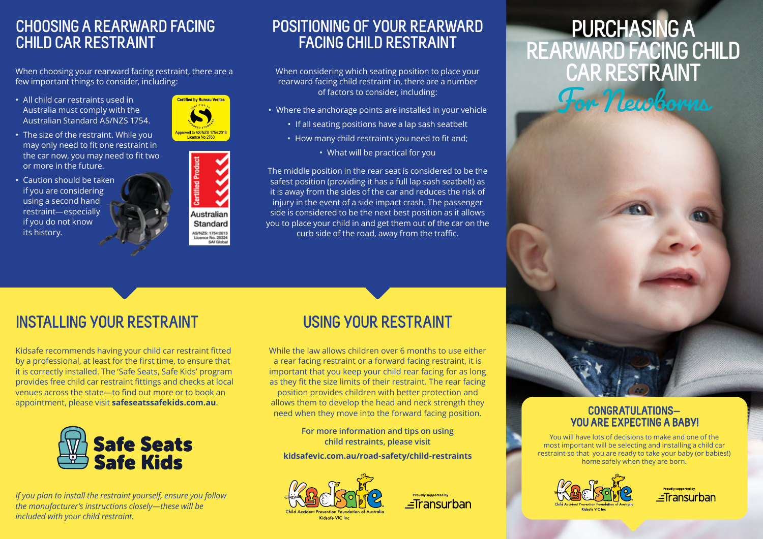### **CHOOSING A REARWARD FACING CHILD CAR RESTRAINT**

When choosing your rearward facing restraint, there are a few important things to consider, including:

- All child car restraints used in Australia must comply with the Australian Standard AS/NZS 1754.
- The size of the restraint. While you may only need to fit one restraint in the car now, you may need to fit two or more in the future.
- Caution should be taken if you are considering using a second hand restraint—especially if you do not know its history.





### **POSITIONING OF YOUR REARWARD FACING CHILD RESTRAINT**

When considering which seating position to place your rearward facing child restraint in, there are a number of factors to consider, including:

- Where the anchorage points are installed in your vehicle
	- If all seating positions have a lap sash seatbelt
	- How many child restraints you need to fit and;
		- What will be practical for you

The middle position in the rear seat is considered to be the safest position (providing it has a full lap sash seatbelt) as it is away from the sides of the car and reduces the risk of injury in the event of a side impact crash. The passenger side is considered to be the next best position as it allows you to place your child in and get them out of the car on the curb side of the road, away from the traffic.

## **INSTALLING YOUR RESTRAINT**

Kidsafe recommends having your child car restraint fitted by a professional, at least for the first time, to ensure that it is correctly installed. The 'Safe Seats, Safe Kids' program provides free child car restraint fittings and checks at local venues across the state—to find out more or to book an appointment, please visit **safeseatssafekids.com.au**.



*If you plan to install the restraint yourself, ensure you follow the manufacturer's instructions closely—these will be included with your child restraint.*

### **USING YOUR RESTRAINT**

While the law allows children over 6 months to use either a rear facing restraint or a forward facing restraint, it is important that you keep your child rear facing for as long as they fit the size limits of their restraint. The rear facing position provides children with better protection and allows them to develop the head and neck strength they need when they move into the forward facing position.

> **For more information and tips on using child restraints, please visit**

**kidsafevic.com.au/road-safety/child-restraints** 





# **PURCHASING A REARWARD FACING CHILD CAR RESTRAINT**



#### **CONGRATULATIONS— YOU ARE EXPECTING A BABY!**

You will have lots of decisions to make and one of the most important will be selecting and installing a child car restraint so that you are ready to take your baby (or babies!) home safely when they are born.